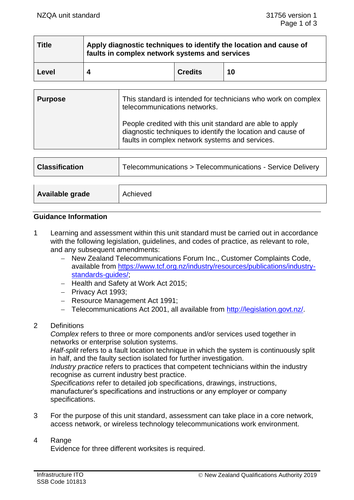| <b>Title</b> | Apply diagnostic techniques to identify the location and cause of<br>faults in complex network systems and services |                |    |  |
|--------------|---------------------------------------------------------------------------------------------------------------------|----------------|----|--|
| Level        |                                                                                                                     | <b>Credits</b> | 10 |  |

| <b>Purpose</b> | This standard is intended for technicians who work on complex<br>telecommunications networks.                                                                               |  |
|----------------|-----------------------------------------------------------------------------------------------------------------------------------------------------------------------------|--|
|                | People credited with this unit standard are able to apply<br>diagnostic techniques to identify the location and cause of<br>faults in complex network systems and services. |  |

| <b>Classification</b> | Telecommunications > Telecommunications - Service Delivery |
|-----------------------|------------------------------------------------------------|
|                       |                                                            |
| Available grade       | Achieved                                                   |

## **Guidance Information**

1 Learning and assessment within this unit standard must be carried out in accordance with the following legislation, guidelines, and codes of practice, as relevant to role, and any subsequent amendments:

- − New Zealand Telecommunications Forum Inc., Customer Complaints Code, available from https://www.tcf.org.nz/industry/resources/publications/industrv[standards-guides/;](https://www.tcf.org.nz/industry/resources/publications/industry-standards-guides/)
- − Health and Safety at Work Act 2015;
- − Privacy Act 1993;
- − Resource Management Act 1991;
- − Telecommunications Act 2001, all available from [http://legislation.govt.nz/.](http://legislation.govt.nz/)
- 2 Definitions

*Complex* refers to three or more components and/or services used together in networks or enterprise solution systems.

*Half-split* refers to a fault location technique in which the system is continuously split in half, and the faulty section isolated for further investigation.

*Industry practice* refers to practices that competent technicians within the industry recognise as current industry best practice.

*Specifications* refer to detailed job specifications, drawings, instructions, manufacturer's specifications and instructions or any employer or company specifications.

3 For the purpose of this unit standard, assessment can take place in a core network, access network, or wireless technology telecommunications work environment.

# 4 Range

Evidence for three different worksites is required.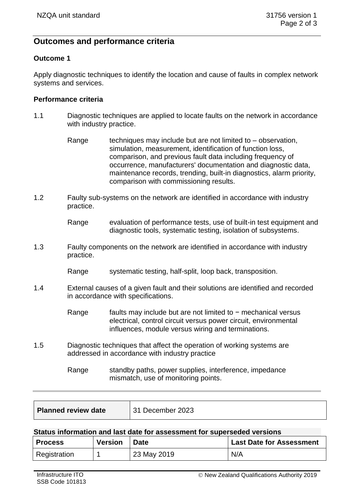# **Outcomes and performance criteria**

# **Outcome 1**

Apply diagnostic techniques to identify the location and cause of faults in complex network systems and services.

## **Performance criteria**

- 1.1 Diagnostic techniques are applied to locate faults on the network in accordance with industry practice.
	- Range techniques may include but are not limited to  $-$  observation, simulation, measurement, identification of function loss, comparison, and previous fault data including frequency of occurrence, manufacturers' documentation and diagnostic data, maintenance records, trending, built-in diagnostics, alarm priority, comparison with commissioning results.
- 1.2 Faulty sub-systems on the network are identified in accordance with industry practice.

Range evaluation of performance tests, use of built-in test equipment and diagnostic tools, systematic testing, isolation of subsystems.

- 1.3 Faulty components on the network are identified in accordance with industry practice.
	- Range systematic testing, half-split, loop back, transposition.
- 1.4 External causes of a given fault and their solutions are identified and recorded in accordance with specifications.

Range faults may include but are not limited to − mechanical versus electrical, control circuit versus power circuit, environmental influences, module versus wiring and terminations.

- 1.5 Diagnostic techniques that affect the operation of working systems are addressed in accordance with industry practice
	- Range standby paths, power supplies, interference, impedance mismatch, use of monitoring points.

| <b>Planned review date</b><br>31 December 2023 |
|------------------------------------------------|
|------------------------------------------------|

#### **Status information and last date for assessment for superseded versions**

| <b>Process</b> | <b>Version</b> | <b>Date</b> | <b>Last Date for Assessment</b> |
|----------------|----------------|-------------|---------------------------------|
| Registration   |                | 23 May 2019 | N/A                             |